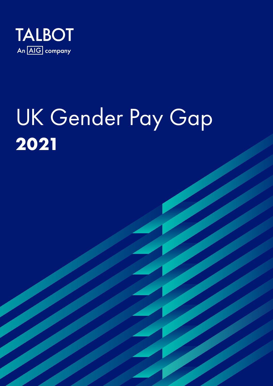

# UK Gender Pay Gap **2021**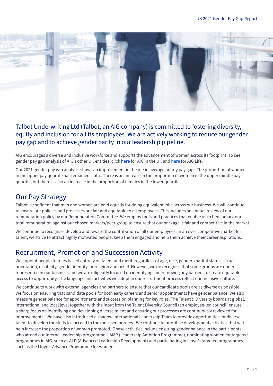

## Talbot Underwriting Ltd (Talbot, an AIG company) is committed to fostering diversity, equity and inclusion for all its employees. We are actively working to reduce our gender pay gap and to achieve gender parity in our leadership pipeline.

AIG encourages a diverse and inclusive workforce and supports the advancement of women across its footprint. To see gender pay gap analysis of AIG's other UK entities, click **[here](https://www.aig.co.uk/util/about-aig/gender-pay-gap)** for AIG in the UK and **[here](https://www.aiglife.co.uk/media-centre/)** for AIG Life.

Our 2021 gender pay gap analysis shows an improvement in the mean average hourly pay gap. The proportion of women in the upper pay quartile has remained static. There is an increase in the proportion of women in the upper middle pay quartile, but there is also an increase in the proportion of females in the lower quartile.

# Our Pay Strategy

Talbot is confident that men and women are paid equally for doing equivalent jobs across our business. We will continue to ensure our policies and processes are fair and equitable to all employees. This includes an annual review of our remuneration policy by our Remuneration Committee. We employ tools and practices that enable us to benchmark our total remuneration against our chosen markets/peer group to ensure that our package is fair and competitive in the market.

We continue to recognise, develop and reward the contribution of all our employees. In an ever-competitive market for talent, we strive to attract highly motivated people, keep them engaged and help them achieve their career aspirations.

# Recruitment, Promotion and Succession Activity

We appoint people to roles based entirely on talent and merit, regardless of age, race, gender, marital status, sexual orientation, disability, gender identity, or religion and belief. However, we do recognise that some groups are underrepresented in our business and we are diligently focused on identifying and removing any barriers to create equitable access to opportunity. The language and activities we adopt in our recruitment process reflect our inclusive culture.

We continue to work with external agencies and partners to ensure that our candidate pools are as diverse as possible. We focus on ensuring that candidate pools for both early careers and senior appointments have gender balance. We also measure gender balance for appointments and succession planning for key roles. The Talent & Diversity boards at global, international and local level together with the input from the Talent Diversity Council (an employee-led council) ensure a sharp focus on identifying and developing diverse talent and ensuring our processes are continuously reviewed for improvements. We have also introduced a shadow International Leadership Team to provide opportunities for diverse talent to develop the skills to succeed to the most senior roles. We continue to prioritise development activities that will help increase the proportion of women promoted. These activities include ensuring gender balance in the participants who attend our internal leadership programme, LAMP (Leadership Ambition Programme), nominating women for targeted programmes in AIG, such as ALD (Advanced Leadership Development) and participating in Lloyd's targeted programmes such as the Lloyd's Advance Programme for women.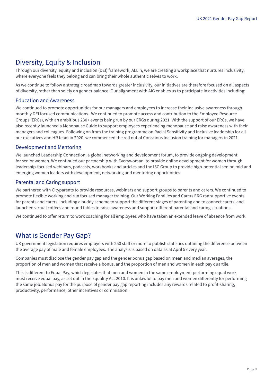# Diversity, Equity & Inclusion

Through our diversity, equity and inclusion (DEI) framework, ALLin, we are creating a workplace that nurtures inclusivity, where everyone feels they belong and can bring their whole authentic selves to work.

As we continue to follow a strategic roadmap towards greater inclusivity, our initiatives are therefore focused on all aspects of diversity, rather than solely on gender balance. Our alignment with AIG enables us to participate in activities including:

#### Education and Awareness

We continued to promote opportunities for our managers and employees to increase their inclusive awareness through monthly DEI focused communications. We continued to promote access and contribution to the Employee Resource Groups (ERGs), with an ambitious 230+ events being run by our ERGs during 2021. With the support of our ERGs, we have also recently launched a Menopause Guide to support employees experiencing menopause and raise awareness with their managers and colleagues. Following on from the training programme on Racial Sensitivity and Inclusive leadership for all our executives and HR team in 2020, we commenced the roll out of Conscious Inclusion training for managers in 2021.

#### Development and Mentoring

We launched Leadership Connection, a global networking and development forum, to provide ongoing development for senior women. We continued our partnership with Everywoman, to provide online development for women through leadership-focused webinars, podcasts, workbooks and articles and the ISC Group to provide high-potential senior, mid and emerging women leaders with development, networking and mentoring opportunities.

#### Parental and Caring support

We partnered with Cityparents to provide resources, webinars and support groups to parents and carers. We continued to promote flexible working and run focused manager training. Our Working Families and Carers ERG ran supportive events for parents and carers, including a buddy scheme to support the different stages of parenting and to connect carers, and launched virtual coffees and round tables to raise awareness and support different parental and caring situations.

We continued to offer return to work coaching for all employees who have taken an extended leave of absence from work.

# What is Gender Pay Gap?

UK government legislation requires employers with 250 staff or more to publish statistics outlining the difference between the average pay of male and female employees. The analysis is based on data as at April 5 every year.

Companies must disclose the gender pay gap and the gender bonus gap based on mean and median averages, the proportion of men and women that receive a bonus, and the proportion of men and women in each pay quartile.

This is different to Equal Pay, which legislates that men and women in the same employment performing equal work must receive equal pay, as set out in the Equality Act 2010. It is unlawful to pay men and women differently for performing the same job. Bonus pay for the purpose of gender pay gap reporting includes any rewards related to profit-sharing, productivity, performance, other incentives or commission.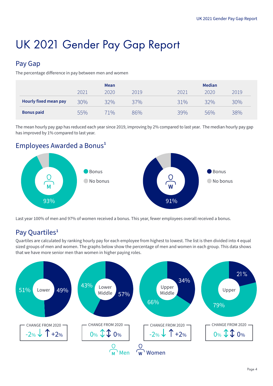# UK 2021 Gender Pay Gap Report

# Pay Gap

The percentage difference in pay between men and women

|                              | <b>Mean</b> |      |      | <b>Median</b>        |  |  |
|------------------------------|-------------|------|------|----------------------|--|--|
|                              | 2021        | 2020 | 2019 | 2020<br>2021<br>2019 |  |  |
| <b>Hourly fixed mean pay</b> | 30%         | 32%  | 37%  | 32%<br>31%<br>30%    |  |  |
| <b>Bonus paid</b>            | 55%         | 71%  | 86%  | 39%<br>56%<br>38%    |  |  |

The mean hourly pay gap has reduced each year since 2019, improving by 2% compared to last year. The median hourly pay gap has improved by 1% compared to last year.

# Employees Awarded a Bonus**<sup>1</sup>**



Last year 100% of men and 97% of women received a bonus. This year, fewer employees overall received a bonus.

# Pay Quartiles**<sup>1</sup>**

Quartiles are calculated by ranking hourly pay for each employee from highest to lowest. The list is then divided into 4 equal sized groups of men and women. The graphs below show the percentage of men and women in each group. This data shows that we have more senior men than women in higher paying roles.